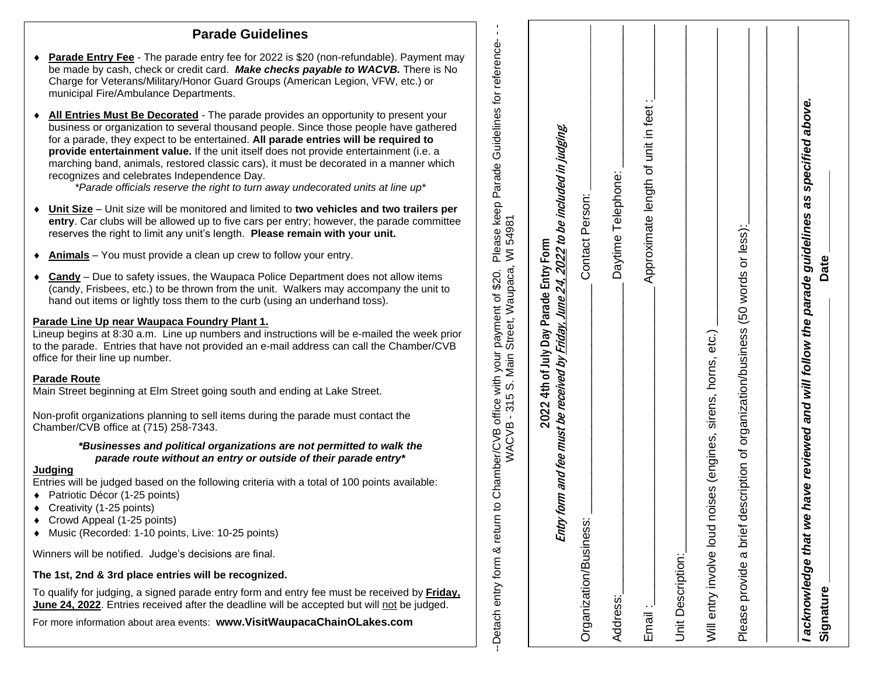## **Parade Guidelines**

- be made by cash, check or credit card. *Make checks payable to WACVB .* There is No ◆ **Parade Entry Fee** - The parade entry fee for 2022 is \$20 (non-refundable). Payment may Charge for Veterans/Military/Honor Guard Groups (American Legion, VFW , etc.) or municipal Fire/Ambulance Departments .
- **All Entries Must Be Decorated** The parade provides an opportunity to present your business or organization to several thousand people. Since those people have gathered for a parade, they expect to be entertained. **All parade entries will be required to provide entertainment value.** If the unit itself does not provide entertainment (i.e. a marching band, animals, restored classic cars), it must be decorated in a manner which recognizes and celebrates Independence Day. **Parade Guidelines**<br>
Parade Guidelines<br>
Change for Vesterine/Miline/Honor Guidelines<br>
Change for Vesterine/Miline/Honor Guidelines and the MCD2. There is No<br>
multiplane in the Milinding Festival and the change of the MCD2

*\*Parade officials reserve the right to turn away undecorated units at line up\**

- ◆ Unit Size Unit size will be monitored and limited to two vehicles and two trailers per **entry**. Car clubs will be allowed up to five cars per entry; however, the parade committee reserves the right to limit any unit's length. **Please remain with your unit.**
- **Animals** You must provide a clean up crew to follow your entry.
- ◆ **Candy** Due to safety issues, the Waupaca Police Department does not allow items (candy, Frisbees, etc.) to be thrown from the unit. Walkers may accompany the unit to hand out items or lightly toss them to the curb (using an underhand toss).

#### **Parade Line Up near Waupaca Foundry Plant 1 .**

Lineup begins at 8 : 30 a.m. Line up numbers and instructions will be e -mailed the week prior to the parade. Entries that have not provided an e -mail address can call the Chamber/CVB office for their line up number.

#### **Parade Route**

Main Street beginning at Elm Street going south and ending at Lake Street.

Non -profit organizations planning to sell items during the parade must contact the Chamber/CVB office at (715) 258 -7343.

#### *\*Businesses and political organizations are not permitted to walk the parade route without an entry or outside of their parade entry\**

#### **Judging**

Entries will be judged based on the following criteria with a total of 100 points available :

- ◆ Patriotic Décor (1-25 points)
- ◆ Creativity (1-25 points)
- ◆ Crowd Appeal (1-25 points)
- Music (Recorded: 1 -10 points, Live: 10 -25 points)

Winners will be notified. Judge's decisions are final.

### **The 1st, 2nd & 3rd place entries will be recognized.**

To qualify for judging, a signed parade entry form and entry fee must be received by **Friday, June 24, 2022**. Entries received after the deadline will be accepted but will not be judged.

| WACVB - 315 S. Main Street, Waupaca, WI 54981<br>Detach entry form & return                                                              | to Chamber/CVB office with your payment of \$20. Please keep Parade Guidelines for reference-- |
|------------------------------------------------------------------------------------------------------------------------------------------|------------------------------------------------------------------------------------------------|
| Entry form and fee must be received by <u>Friday, June 24, 2022</u> to be included in judging.<br>2022 4th of July Day Parade Entry Form |                                                                                                |
| Organization/Business:                                                                                                                   | Contact Person:                                                                                |
| Address:                                                                                                                                 | Daytime Telephone:                                                                             |
| $E$ mail:                                                                                                                                | Approximate length of unit in feet :                                                           |
| Unit Description:                                                                                                                        |                                                                                                |
| Will entry involve loud noises (engines, sirens, horns, etc.)                                                                            |                                                                                                |
| lescription of organization/business (50 words or less):<br>Please provide a brief c                                                     |                                                                                                |
| acknowledge that w                                                                                                                       | e have reviewed and will follow the parade guidelines as specified above.                      |
| Signature                                                                                                                                | <b>Date</b>                                                                                    |
|                                                                                                                                          |                                                                                                |